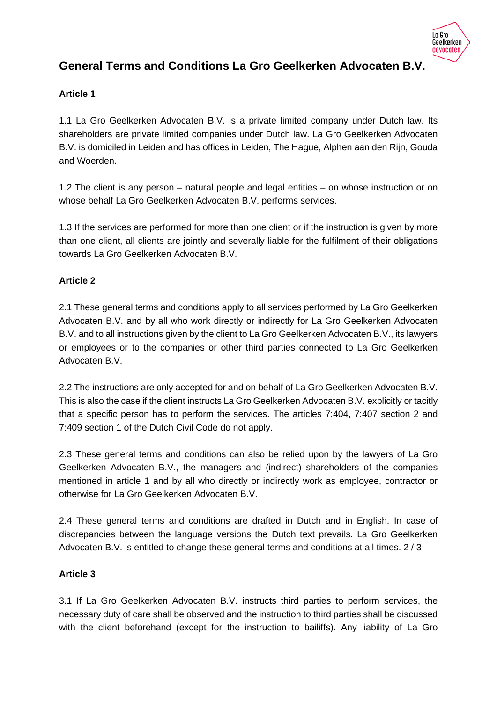

# **General Terms and Conditions La Gro Geelkerken Advocaten B.V.**

# **Article 1**

1.1 La Gro Geelkerken Advocaten B.V. is a private limited company under Dutch law. Its shareholders are private limited companies under Dutch law. La Gro Geelkerken Advocaten B.V. is domiciled in Leiden and has offices in Leiden, The Hague, Alphen aan den Rijn, Gouda and Woerden.

1.2 The client is any person – natural people and legal entities – on whose instruction or on whose behalf La Gro Geelkerken Advocaten B.V. performs services.

1.3 If the services are performed for more than one client or if the instruction is given by more than one client, all clients are jointly and severally liable for the fulfilment of their obligations towards La Gro Geelkerken Advocaten B.V.

## **Article 2**

2.1 These general terms and conditions apply to all services performed by La Gro Geelkerken Advocaten B.V. and by all who work directly or indirectly for La Gro Geelkerken Advocaten B.V. and to all instructions given by the client to La Gro Geelkerken Advocaten B.V., its lawyers or employees or to the companies or other third parties connected to La Gro Geelkerken Advocaten B.V.

2.2 The instructions are only accepted for and on behalf of La Gro Geelkerken Advocaten B.V. This is also the case if the client instructs La Gro Geelkerken Advocaten B.V. explicitly or tacitly that a specific person has to perform the services. The articles 7:404, 7:407 section 2 and 7:409 section 1 of the Dutch Civil Code do not apply.

2.3 These general terms and conditions can also be relied upon by the lawyers of La Gro Geelkerken Advocaten B.V., the managers and (indirect) shareholders of the companies mentioned in article 1 and by all who directly or indirectly work as employee, contractor or otherwise for La Gro Geelkerken Advocaten B.V.

2.4 These general terms and conditions are drafted in Dutch and in English. In case of discrepancies between the language versions the Dutch text prevails. La Gro Geelkerken Advocaten B.V. is entitled to change these general terms and conditions at all times. 2 / 3

### **Article 3**

3.1 If La Gro Geelkerken Advocaten B.V. instructs third parties to perform services, the necessary duty of care shall be observed and the instruction to third parties shall be discussed with the client beforehand (except for the instruction to bailiffs). Any liability of La Gro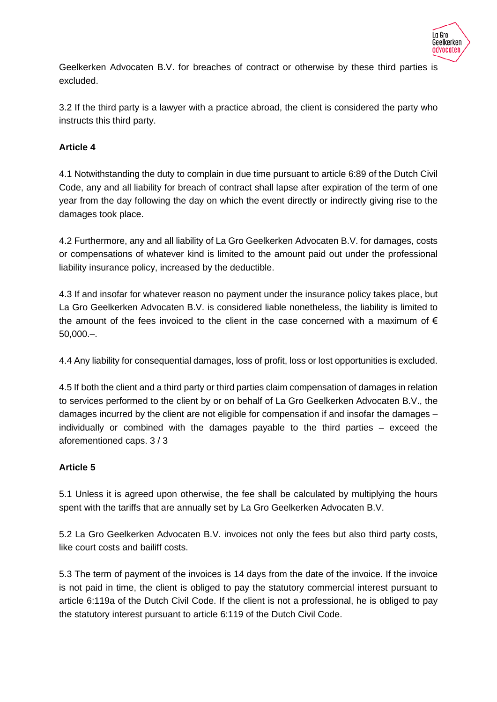

Geelkerken Advocaten B.V. for breaches of contract or otherwise by these third parties is excluded.

3.2 If the third party is a lawyer with a practice abroad, the client is considered the party who instructs this third party.

## **Article 4**

4.1 Notwithstanding the duty to complain in due time pursuant to article 6:89 of the Dutch Civil Code, any and all liability for breach of contract shall lapse after expiration of the term of one year from the day following the day on which the event directly or indirectly giving rise to the damages took place.

4.2 Furthermore, any and all liability of La Gro Geelkerken Advocaten B.V. for damages, costs or compensations of whatever kind is limited to the amount paid out under the professional liability insurance policy, increased by the deductible.

4.3 If and insofar for whatever reason no payment under the insurance policy takes place, but La Gro Geelkerken Advocaten B.V. is considered liable nonetheless, the liability is limited to the amount of the fees invoiced to the client in the case concerned with a maximum of  $\epsilon$ 50,000.–.

4.4 Any liability for consequential damages, loss of profit, loss or lost opportunities is excluded.

4.5 If both the client and a third party or third parties claim compensation of damages in relation to services performed to the client by or on behalf of La Gro Geelkerken Advocaten B.V., the damages incurred by the client are not eligible for compensation if and insofar the damages – individually or combined with the damages payable to the third parties – exceed the aforementioned caps. 3 / 3

### **Article 5**

5.1 Unless it is agreed upon otherwise, the fee shall be calculated by multiplying the hours spent with the tariffs that are annually set by La Gro Geelkerken Advocaten B.V.

5.2 La Gro Geelkerken Advocaten B.V. invoices not only the fees but also third party costs, like court costs and bailiff costs.

5.3 The term of payment of the invoices is 14 days from the date of the invoice. If the invoice is not paid in time, the client is obliged to pay the statutory commercial interest pursuant to article 6:119a of the Dutch Civil Code. If the client is not a professional, he is obliged to pay the statutory interest pursuant to article 6:119 of the Dutch Civil Code.